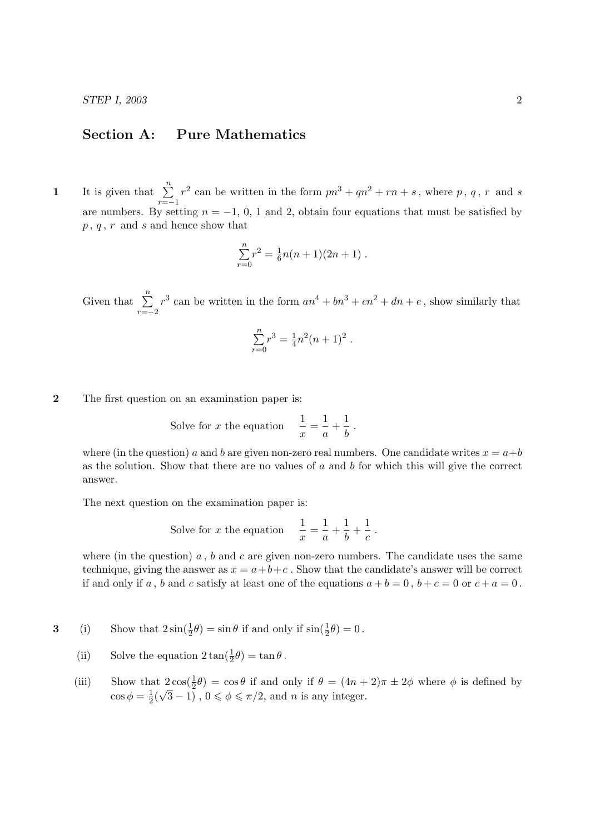## Section A: Pure Mathematics

1 It is given that  $\sum_{n=1}^{\infty}$  $r=-1$  $r^2$  can be written in the form  $pn^3 + qn^2 + rn + s$ , where p, q, r and s are numbers. By setting  $n = -1, 0, 1$  and 2, obtain four equations that must be satisfied by  $p, q, r$  and s and hence show that

$$
\sum_{r=0}^{n} r^2 = \frac{1}{6}n(n+1)(2n+1).
$$

Given that  $\sum_{n=1}^{\infty}$  $r=-2$  $r^3$  can be written in the form  $a n^4 + b n^3 + c n^2 + d n + e$ , show similarly that

$$
\sum_{r=0}^{n} r^3 = \frac{1}{4}n^2(n+1)^2.
$$

2 The first question on an examination paper is:

Solve for x the equation 
$$
\frac{1}{x} = \frac{1}{a} + \frac{1}{b}
$$
.

where (in the question) a and b are given non-zero real numbers. One candidate writes  $x = a+b$ as the solution. Show that there are no values of  $a$  and  $b$  for which this will give the correct answer.

The next question on the examination paper is:

Solve for x the equation 
$$
\frac{1}{x} = \frac{1}{a} + \frac{1}{b} + \frac{1}{c}
$$
.

where (in the question)  $a, b$  and c are given non-zero numbers. The candidate uses the same technique, giving the answer as  $x = a+b+c$ . Show that the candidate's answer will be correct if and only if a, b and c satisfy at least one of the equations  $a + b = 0$ ,  $b + c = 0$  or  $c + a = 0$ .

3 (i) Show that  $2\sin(\frac{1}{2}\theta) = \sin \theta$  if and only if  $\sin(\frac{1}{2}\theta) = 0$ .

(ii) Solve the equation 
$$
2\tan(\frac{1}{2}\theta) = \tan \theta
$$
.

(iii) Show that  $2\cos(\frac{1}{2}\theta) = \cos\theta$  if and only if  $\theta = (4n+2)\pi \pm 2\phi$  where  $\phi$  is defined by  $\cos \phi = \frac{1}{2}$  $\frac{1}{2}(\sqrt{3}-1)$ ,  $0 \le \phi \le \pi/2$ , and *n* is any integer.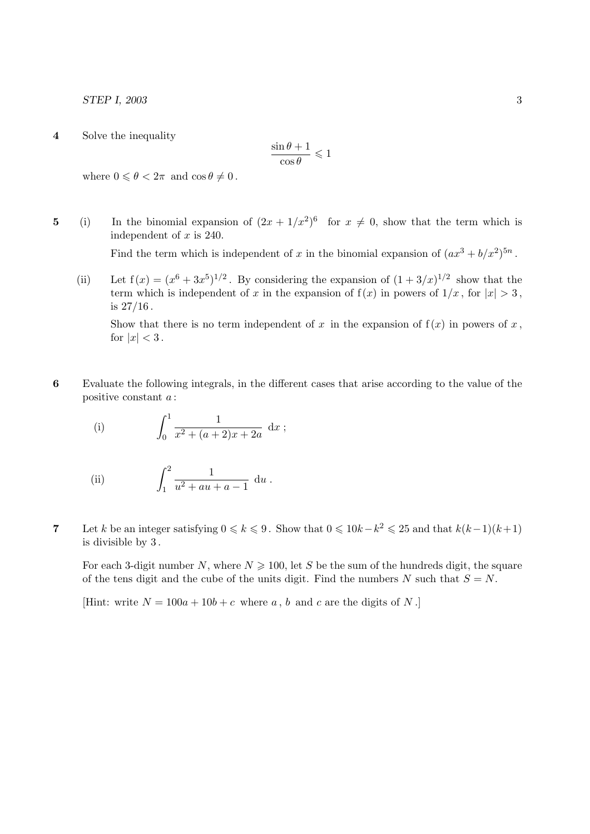4 Solve the inequality

$$
\frac{\sin\theta+1}{\cos\theta}\leqslant 1
$$

where  $0 \le \theta < 2\pi$  and  $\cos \theta \ne 0$ .

5 (i) In the binomial expansion of  $(2x+1/x^2)^6$  for  $x\neq 0$ , show that the term which is independent of  $x$  is 240.

Find the term which is independent of x in the binomial expansion of  $(ax^3 + b/x^2)^{5n}$ .

(ii) Let  $f(x) = (x^6 + 3x^5)^{1/2}$ . By considering the expansion of  $(1 + 3/x)^{1/2}$  show that the term which is independent of x in the expansion of  $f(x)$  in powers of  $1/x$ , for  $|x| > 3$ , is 27/16 .

Show that there is no term independent of x in the expansion of  $f(x)$  in powers of x, for  $|x| < 3$ .

6 Evaluate the following integrals, in the different cases that arise according to the value of the positive constant a :

(i) 
$$
\int_0^1 \frac{1}{x^2 + (a+2)x + 2a} \, \mathrm{d}x \, ;
$$

(ii) 
$$
\int_{1}^{2} \frac{1}{u^2 + au + a - 1} \, \mathrm{d}u \, .
$$

7 Let k be an integer satisfying  $0 \le k \le 9$ . Show that  $0 \le 10k - k^2 \le 25$  and that  $k(k-1)(k+1)$ is divisible by 3 .

For each 3-digit number N, where  $N \geq 100$ , let S be the sum of the hundreds digit, the square of the tens digit and the cube of the units digit. Find the numbers N such that  $S = N$ .

[Hint: write  $N = 100a + 10b + c$  where a, b and c are the digits of N.]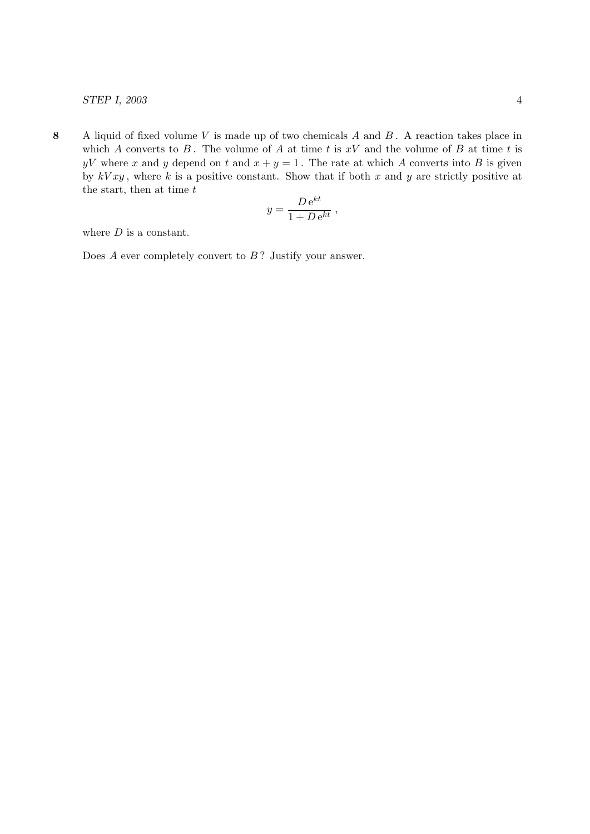8 A liquid of fixed volume  $V$  is made up of two chemicals  $A$  and  $B$ . A reaction takes place in which A converts to B. The volume of A at time t is  $xV$  and the volume of B at time t is yV where x and y depend on t and  $x + y = 1$ . The rate at which A converts into B is given by  $kVxy$ , where k is a positive constant. Show that if both x and y are strictly positive at the start, then at time  $t$  $\overline{h}$ 

$$
y = \frac{D e^{kt}}{1 + D e^{kt}} ,
$$

where  $D$  is a constant.

Does  $A$  ever completely convert to  $B$ ? Justify your answer.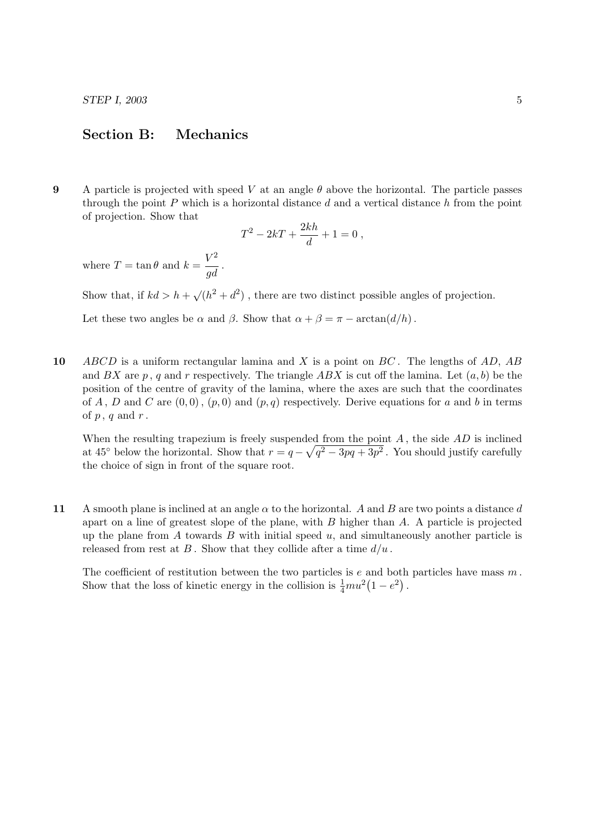## Section B: Mechanics

9 A particle is projected with speed V at an angle  $\theta$  above the horizontal. The particle passes through the point P which is a horizontal distance d and a vertical distance h from the point of projection. Show that

$$
T^2 - 2kT + \frac{2kh}{d} + 1 = 0,
$$

where  $T = \tan \theta$  and  $k = \frac{V^2}{I}$  $\frac{d}{g}$  .

Show that, if  $kd > h + \sqrt{(h^2 + d^2)}$ , there are two distinct possible angles of projection.

Let these two angles be  $\alpha$  and  $\beta$ . Show that  $\alpha + \beta = \pi - \arctan(d/h)$ .

10  $ABCD$  is a uniform rectangular lamina and X is a point on BC. The lengths of AD, AB and BX are p, q and r respectively. The triangle ABX is cut off the lamina. Let  $(a, b)$  be the position of the centre of gravity of the lamina, where the axes are such that the coordinates of A, D and C are  $(0,0)$ ,  $(p,0)$  and  $(p,q)$  respectively. Derive equations for a and b in terms of  $p$ ,  $q$  and  $r$ .

When the resulting trapezium is freely suspended from the point  $A$ , the side  $AD$  is inclined at 45<sup>°</sup> below the horizontal. Show that  $r = q - \sqrt{q^2 - 3pq + 3p^2}$ . You should justify carefully the choice of sign in front of the square root.

11 A smooth plane is inclined at an angle  $\alpha$  to the horizontal. A and B are two points a distance d apart on a line of greatest slope of the plane, with  $B$  higher than  $A$ . A particle is projected up the plane from  $A$  towards  $B$  with initial speed  $u$ , and simultaneously another particle is released from rest at B. Show that they collide after a time  $d/u$ .

The coefficient of restitution between the two particles is  $e$  and both particles have mass  $m$ . Show that the loss of kinetic energy in the collision is  $\frac{1}{4}mu^2(1-e^2)$ .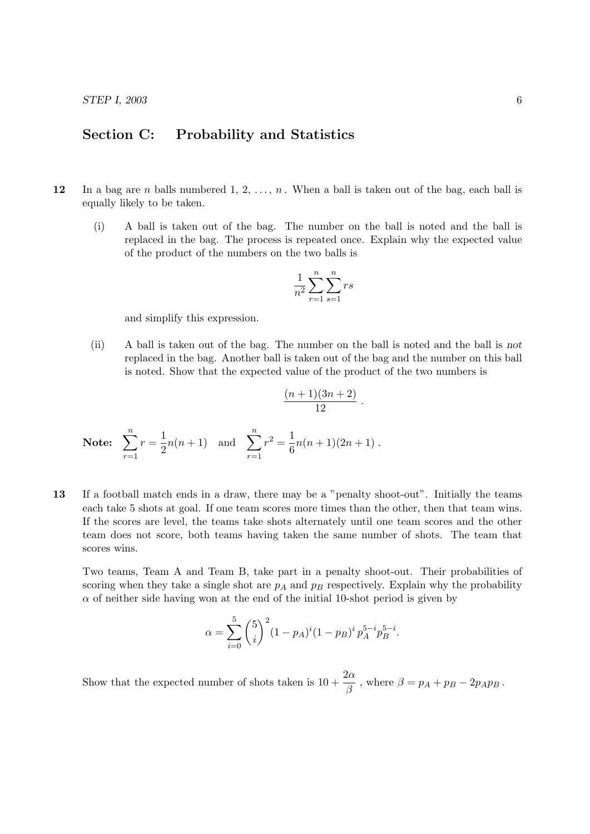## Section C: Probability and Statistics

- 12 In a bag are n balls numbered 1, 2,  $\ldots$ , n. When a ball is taken out of the bag, each ball is equally likely to be taken.
	- (i) A ball is taken out of the bag. The number on the ball is noted and the ball is replaced in the bag. The process is repeated once. Explain why the expected value of the product of the numbers on the two balls is

$$
\frac{1}{n^2}\sum_{r=1}^n\sum_{s=1}^n rs
$$

and simplify this expression.

(ii) A ball is taken out of the bag. The number on the ball is noted and the ball is not replaced in the bag. Another ball is taken out of the bag and the number on this ball is noted. Show that the expected value of the product of the two numbers is

$$
\frac{(n+1)(3n+2)}{12}.
$$

**Note:** 
$$
\sum_{r=1}^{n} r = \frac{1}{2}n(n+1) \text{ and } \sum_{r=1}^{n} r^{2} = \frac{1}{6}n(n+1)(2n+1).
$$

13 If a football match ends in a draw, there may be a "penalty shoot-out". Initially the teams each take 5 shots at goal. If one team scores more times than the other, then that team wins. If the scores are level, the teams take shots alternately until one team scores and the other team does not score, both teams having taken the same number of shots. The team that scores wins.

Two teams, Team A and Team B, take part in a penalty shoot-out. Their probabilities of scoring when they take a single shot are  $p_A$  and  $p_B$  respectively. Explain why the probability  $\alpha$  of neither side having won at the end of the initial 10-shot period is given by

$$
\alpha = \sum_{i=0}^{5} {5 \choose i}^2 (1 - p_A)^i (1 - p_B)^i p_A^{5-i} p_B^{5-i}.
$$

Show that the expected number of shots taken is  $10 + \frac{2\alpha}{\beta}$ , where  $\beta = p_A + p_B - 2p_A p_B$ .